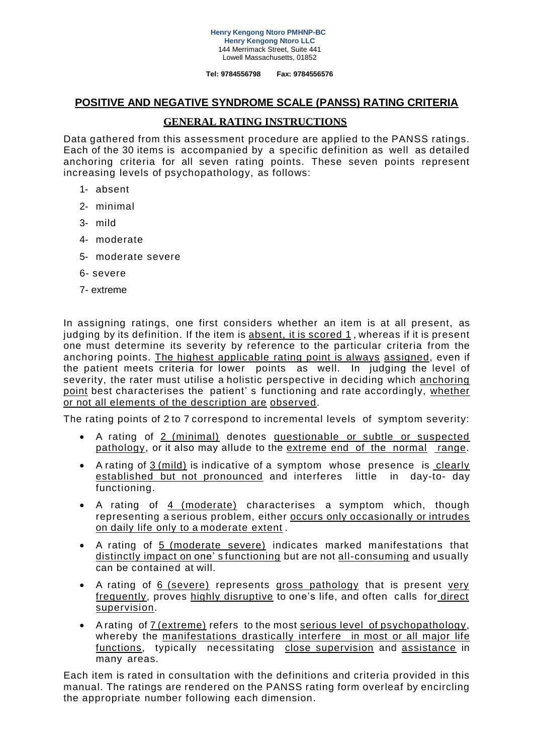#### **Henry Kengong Ntoro PMHNP-BC Henry Kengong Ntoro LLC** 144 Merrimack Street, Suite 441 Lowell Massachusetts, 01852

**Tel: 9784556798 Fax: 9784556576**

### **POSITIVE AND NEGATIVE SYNDROME SCALE (PANSS) RATING CRITERIA**

# **GENERAL RATING INSTRUCTIONS**

Data gathered from this assessment procedure are applied to the PANSS ratings. Each of the 30 items is accompanied by a specific definition as well as detailed anchoring criteria for all seven rating points. These seven points represent increasing levels of psychopathology, as follows:

- 1- absent
- 2- minimal
- 3- mild
- 4- moderate
- 5- moderate severe
- 6- severe
- 7- extreme

In assigning ratings, one first considers whether an item is at all present, as judging by its definition. If the item is absent, it is scored 1, whereas if it is present one must determine its severity by reference to the particular criteria from the anchoring points. The highest applicable rating point is always assigned, even if the patient meets criteria for lower points as well. In judging the level of severity, the rater must utilise a holistic perspective in deciding which anchoring point best characterises the patient' s functioning and rate accordingly, whether or not all elements of the description are observed.

The rating points of 2 to 7 correspond to incremental levels of symptom severity:

- A rating of 2 (minimal) denotes questionable or subtle or suspected pathology, or it also may allude to the extreme end of the normal range.
- A rating of 3 (mild) is indicative of a symptom whose presence is clearly established but not pronounced and interferes little in day-to- day functioning.
- A rating of 4 (moderate) characterises a symptom which, though representing a serious problem, either occurs only occasionally or intrudes on daily life only to a moderate extent .
- A rating of 5 (moderate severe) indicates marked manifestations that distinctly impact on one' s functioning but are not all-consuming and usually can be contained at will.
- A rating of 6 (severe) represents gross pathology that is present very frequently, proves highly disruptive to one's life, and often calls for direct supervision.
- A rating of 7 (extreme) refers to the most serious level of psychopathology, whereby the manifestations drastically interfere in most or all major life functions, typically necessitating close supervision and assistance in many areas.

Each item is rated in consultation with the definitions and criteria provided in this manual. The ratings are rendered on the PANSS rating form overleaf by encircling the appropriate number following each dimension.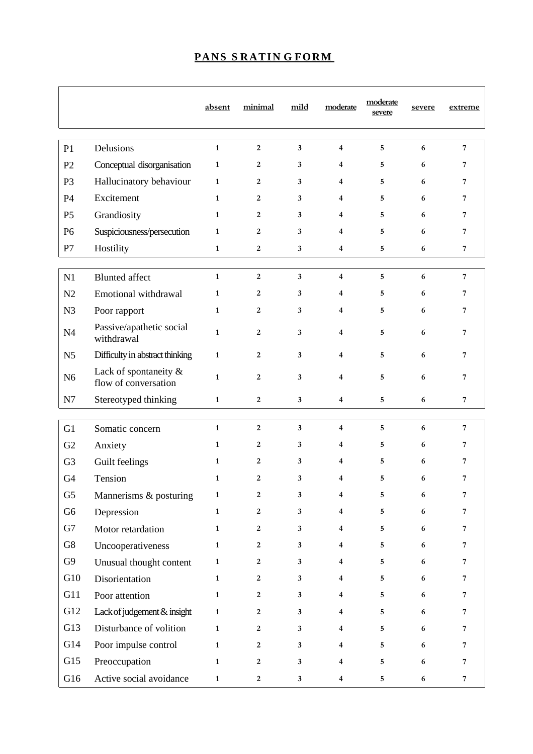|                |                                               | absent       | minimal          | mild         | moderate                | moderate<br>severe | severe           | extreme        |
|----------------|-----------------------------------------------|--------------|------------------|--------------|-------------------------|--------------------|------------------|----------------|
| P <sub>1</sub> | Delusions                                     | $\mathbf{1}$ | $\overline{2}$   | $\mathbf{3}$ | $\overline{4}$          | 5                  | 6                | $\overline{7}$ |
| P <sub>2</sub> | Conceptual disorganisation                    | $\mathbf{1}$ | 2                | 3            | 4                       | 5                  | 6                | 7              |
| P <sub>3</sub> | Hallucinatory behaviour                       | $\mathbf{1}$ | 2                | 3            | $\overline{4}$          | 5                  | 6                | 7              |
| P <sub>4</sub> | Excitement                                    | 1            | 2                | 3            | 4                       | 5                  | 6                | 7              |
| P <sub>5</sub> | Grandiosity                                   | $\mathbf{1}$ | $\boldsymbol{2}$ | 3            | 4                       | 5                  | 6                | 7              |
| P <sub>6</sub> | Suspiciousness/persecution                    | $\mathbf{1}$ | $\overline{2}$   | 3            | 4                       | 5                  | 6                | 7              |
| P7             | Hostility                                     | $\mathbf{1}$ | $\mathbf{2}$     | 3            | $\overline{\mathbf{4}}$ | 5                  | 6                | $\overline{7}$ |
|                |                                               |              |                  |              |                         |                    |                  |                |
| N1             | <b>Blunted</b> affect                         | $\mathbf{1}$ | $\boldsymbol{2}$ | $\mathbf{3}$ | $\overline{\mathbf{4}}$ | 5                  | $\boldsymbol{6}$ | $\overline{7}$ |
| N <sub>2</sub> | Emotional withdrawal                          | $\mathbf{1}$ | 2                | 3            | 4                       | 5                  | 6                | 7              |
| N <sub>3</sub> | Poor rapport                                  | $\mathbf{1}$ | $\boldsymbol{2}$ | 3            | $\overline{\mathbf{4}}$ | 5                  | 6                | 7              |
| N <sub>4</sub> | Passive/apathetic social<br>withdrawal        | $\mathbf{1}$ | $\overline{2}$   | 3            | 4                       | 5                  | 6                | 7              |
| N <sub>5</sub> | Difficulty in abstract thinking               | $\mathbf{1}$ | 2                | 3            | 4                       | 5                  | 6                | 7              |
| N <sub>6</sub> | Lack of spontaneity &<br>flow of conversation | $\mathbf{1}$ | $\overline{2}$   | 3            | $\overline{4}$          | 5                  | 6                | 7              |
| N7             | Stereotyped thinking                          | $\mathbf{1}$ | $\mathbf{2}$     | $\mathbf{3}$ | $\overline{\mathbf{4}}$ | 5                  | 6                | $\overline{7}$ |
| G1             | Somatic concern                               | $\mathbf{1}$ | $\boldsymbol{2}$ | $\mathbf{3}$ | $\overline{\mathbf{4}}$ | 5                  | 6                | $\overline{7}$ |
| G <sub>2</sub> | Anxiety                                       | $\mathbf{1}$ | 2                | 3            | 4                       | 5                  | 6                | 7              |
| G <sub>3</sub> | Guilt feelings                                | $\mathbf{1}$ | 2                | 3            | 4                       | 5                  | 6                | 7              |
| G <sub>4</sub> | Tension                                       | $\mathbf{1}$ | $\overline{2}$   | 3            | $\overline{4}$          | 5                  | 6                | 7              |
| G <sub>5</sub> | Mannerisms & posturing                        | $\mathbf{1}$ | $\boldsymbol{2}$ | $\mathbf{3}$ | 4                       | 5                  | 6                | 7              |
| G6             | Depression                                    | $\mathbf{1}$ | $\boldsymbol{2}$ | $\mathbf{3}$ | $\overline{\mathbf{4}}$ | 5                  | 6                | 7              |
| G7             | Motor retardation                             | $\mathbf{1}$ | $\boldsymbol{2}$ | $\mathbf{3}$ | $\overline{4}$          | 5                  | 6                | 7              |
| G8             | Uncooperativeness                             | $\mathbf{1}$ | $\boldsymbol{2}$ | $\mathbf{3}$ | $\overline{\mathbf{4}}$ | 5                  | $\boldsymbol{6}$ | 7              |
| G9             | Unusual thought content                       | $\mathbf{1}$ | $\boldsymbol{2}$ | $\mathbf{3}$ | $\overline{\mathbf{4}}$ | 5                  | $\boldsymbol{6}$ | 7              |
| G10            | Disorientation                                | $\mathbf{1}$ | $\boldsymbol{2}$ | $\mathbf{3}$ | $\overline{\mathbf{4}}$ | 5                  | 6                | 7              |
| G11            | Poor attention                                | $\mathbf{1}$ | $\boldsymbol{2}$ | $\mathbf{3}$ | $\overline{4}$          | 5                  | $\boldsymbol{6}$ | 7              |
| G12            | Lack of judgement & insight                   | $\mathbf{1}$ | $\overline{2}$   | $\mathbf{3}$ | 4                       | 5                  | 6                | 7              |
| G13            | Disturbance of volition                       | $\mathbf 1$  | $\boldsymbol{2}$ | $\mathbf{3}$ | 4                       | 5                  | $\boldsymbol{6}$ | 7              |
| G14            | Poor impulse control                          | $\mathbf{1}$ | $\boldsymbol{2}$ | $\mathbf{3}$ | 4                       | 5                  | 6                | 7              |
| G15            | Preoccupation                                 | $\mathbf{1}$ | $\boldsymbol{2}$ | $\mathbf 3$  | $\overline{\mathbf{4}}$ | 5                  | $\boldsymbol{6}$ | 7              |
| G16            | Active social avoidance                       | $\mathbf{1}$ | $\boldsymbol{2}$ | $\mathbf{3}$ | $\overline{\mathbf{4}}$ | $\overline{5}$     | 6                | 7              |

# **PANS S RATIN G FORM**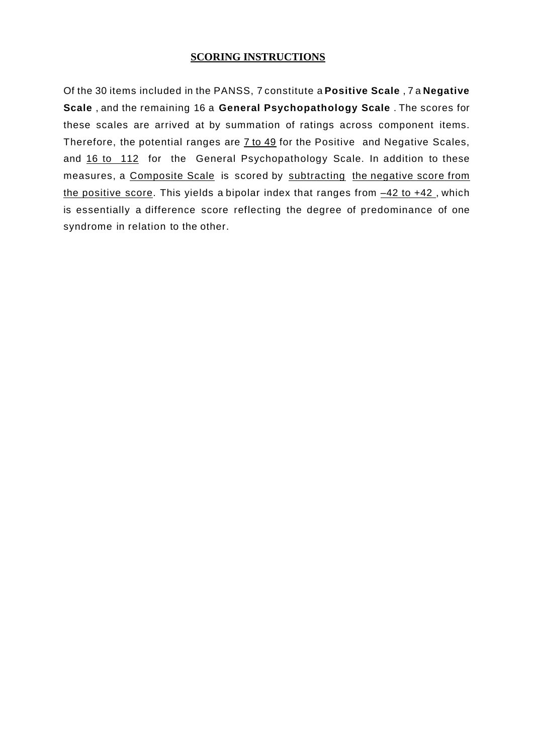# **SCORING INSTRUCTIONS**

Of the 30 items included in the PANSS, 7 constitute a **Positive Scale** , 7 a **Negative Scale** , and the remaining 16 a **General Psychopathology Scale** . The scores for these scales are arrived at by summation of ratings across component items. Therefore, the potential ranges are 7 to 49 for the Positive and Negative Scales, and 16 to 112 for the General Psychopathology Scale. In addition to these measures, a Composite Scale is scored by subtracting the negative score from the positive score. This yields a bipolar index that ranges from  $-42$  to  $+42$ , which is essentially a difference score reflecting the degree of predominance of one syndrome in relation to the other.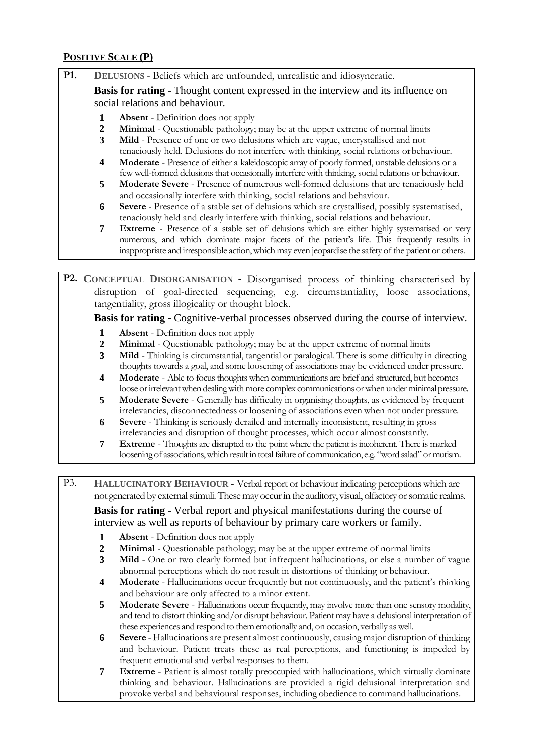# **POSITIVE SCALE (P)**

**P1. DELUSIONS** - Beliefs which are unfounded, unrealistic and idiosyncratic.

**Basis for rating -** Thought content expressed in the interview and its influence on social relations and behaviour.

- **1 Absent**  Definition does not apply
- **2 Minimal**  Questionable pathology; may be at the upper extreme of normal limits
- **3 Mild**  Presence of one or two delusions which are vague, uncrystallised and not tenaciously held. Delusions do not interfere with thinking, social relations orbehaviour.
- **4 Moderate**  Presence of either a kaleidoscopic array of poorly formed, unstable delusions or a few well-formed delusions that occasionally interfere with thinking, social relations or behaviour.
- **5 Moderate Severe**  Presence of numerous well-formed delusions that are tenaciously held and occasionally interfere with thinking, social relations and behaviour.
- **6 Severe**  Presence of a stable set of delusions which are crystallised, possibly systematised, tenaciously held and clearly interfere with thinking, social relations and behaviour.
- **7 Extreme**  Presence of a stable set of delusions which are either highly systematised or very numerous, and which dominate major facets of the patient's life. This frequently results in inappropriate and irresponsible action,which may even jeopardise the safety of the patient or others.

**P2. CONCEPTUAL DISORGANISATION -** Disorganised process of thinking characterised by disruption of goal-directed sequencing, e.g. circumstantiality, loose associations, tangentiality, gross illogicality or thought block.

**Basis for rating -** Cognitive-verbal processes observed during the course of interview.

- **1 Absent**  Definition does not apply
- **2 Minimal**  Questionable pathology; may be at the upper extreme of normal limits
- **3 Mild**  Thinking is circumstantial, tangential or paralogical. There is some difficulty in directing thoughts towards a goal, and some loosening of associations may be evidenced under pressure.
- **4 Moderate**  Able to focus thoughts when communications are brief and structured, but becomes loose or irrelevant when dealing with more complex communications or when under minimal pressure.
- **5 Moderate Severe**  Generally has difficulty in organising thoughts, as evidenced by frequent irrelevancies, disconnectedness or loosening of associations even when not under pressure.
- **6 Severe**  Thinking is seriously derailed and internally inconsistent, resulting in gross irrelevancies and disruption of thought processes, which occur almost constantly.
- **7 Extreme**  Thoughts are disrupted to the point where the patient is incoherent. There is marked loosening of associations, which result in total failure of communication, e.g. "word salad" or mutism.

P3. **HALLUCINATORY BEHAVIOUR -** Verbal report or behaviour indicating perceptions which are not generated by external stimuli. These may occur in the auditory, visual, olfactory or somatic realms.

**Basis for rating -** Verbal report and physical manifestations during the course of interview as well as reports of behaviour by primary care workers or family.

- **1 Absent**  Definition does not apply
- **2 Minimal**  Questionable pathology; may be at the upper extreme of normal limits
- **3 Mild**  One or two clearly formed but infrequent hallucinations, or else a number of vague abnormal perceptions which do not result in distortions of thinking or behaviour.
- **4 Moderate**  Hallucinations occur frequently but not continuously, and the patient's thinking and behaviour are only affected to a minor extent.
- **5 Moderate Severe**  Hallucinations occur frequently, may involve more than one sensory modality, and tend to distort thinking and/or disrupt behaviour. Patient may have a delusional interpretation of these experiences and respond to them emotionally and, on occasion, verbally as well.
- **6 Severe**  Hallucinations are present almost continuously, causing major disruption of thinking and behaviour. Patient treats these as real perceptions, and functioning is impeded by frequent emotional and verbal responses to them.
- **7 Extreme**  Patient is almost totally preoccupied with hallucinations, which virtually dominate thinking and behaviour. Hallucinations are provided a rigid delusional interpretation and provoke verbal and behavioural responses, including obedience to command hallucinations.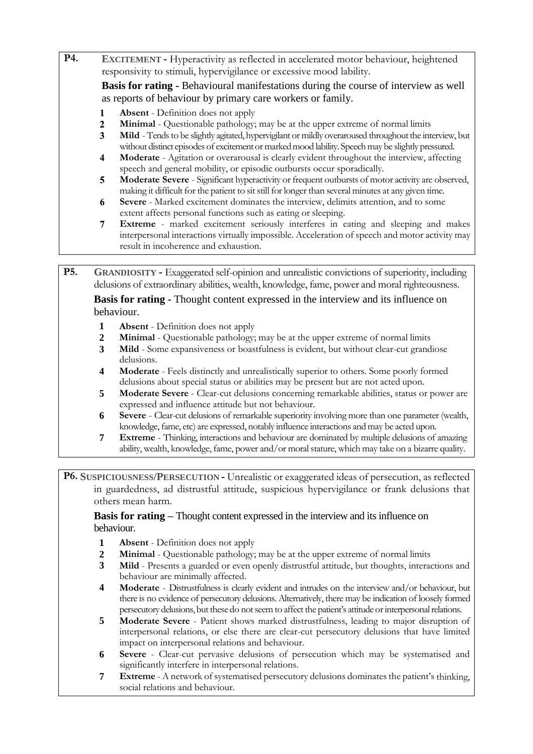- **P4. EXCITEMENT -** Hyperactivity as reflected in accelerated motor behaviour, heightened responsivity to stimuli, hypervigilance or excessive mood lability. **Basis for rating -** Behavioural manifestations during the course of interview as well as reports of behaviour by primary care workers or family. **Absent** - Definition does not apply  $\mathbf{1}$  $\overline{2}$ **Minimal** - Questionable pathology; may be at the upper extreme of normal limits **Mild** - Tends to be slightly agitated, hypervigilant or mildly overaroused throughout the interview, but 3 without distinct episodes of excitement or marked mood lability. Speech may be slightly pressured. **Moderate** - Agitation or overarousal is clearly evident throughout the interview, affecting  $\overline{\mathbf{4}}$ speech and general mobility, or episodic outbursts occur sporadically. **Moderate Severe** - Significant hyperactivity or frequent outbursts of motor activity are observed,  $5<sub>5</sub>$ making it difficult for the patient to sit still for longer than several minutes at any given time. 6 **Severe** - Marked excitement dominates the interview, delimits attention, and to some extent affects personal functions such as eating or sleeping.  $\overline{7}$ **Extreme** - marked excitement seriously interferes in eating and sleeping and makes
	- interpersonal interactions virtually impossible. Acceleration of speech and motor activity may result in incoherence and exhaustion.

**P5. GRANDIOSITY -** Exaggerated self-opinion and unrealistic convictions of superiority, including delusions of extraordinary abilities, wealth, knowledge, fame, power and moral righteousness.

**Basis for rating -** Thought content expressed in the interview and its influence on behaviour.

- **1 Absent**  Definition does not apply
- **2 Minimal**  Questionable pathology; may be at the upper extreme of normal limits
- **3 Mild**  Some expansiveness or boastfulness is evident, but without clear-cut grandiose delusions.
- **4 Moderate**  Feels distinctly and unrealistically superior to others. Some poorly formed delusions about special status or abilities may be present but are not acted upon.
- **5 Moderate Severe**  Clear-cut delusions concerning remarkable abilities, status or power are expressed and influence attitude but not behaviour.
- **6 Severe**  Clear-cut delusions of remarkable superiority involving more than one parameter (wealth, knowledge, fame, etc) are expressed, notably influence interactions andmay be acted upon.
- **7 Extreme**  Thinking, interactions and behaviour are dominated by multiple delusions of amazing ability, wealth, knowledge, fame, power and/or moralstature, which may take on a bizarre quality.

**P6. SUSPICIOUSNESS/PERSECUTION -** Unrealistic or exaggerated ideas of persecution, as reflected in guardedness, ad distrustful attitude, suspicious hypervigilance or frank delusions that others mean harm.

**Basis for rating –** Thought content expressed in the interview and its influence on behaviour.

- **1 Absent**  Definition does not apply
- **2 Minimal**  Questionable pathology; may be at the upper extreme of normal limits
- **3 Mild**  Presents a guarded or even openly distrustful attitude, but thoughts, interactions and behaviour are minimally affected.
- **4 Moderate**  Distrustfulness is clearly evident and intrudes on the interview and/or behaviour, but there is no evidence of persecutory delusions. Alternatively, there may be indication of loosely formed persecutory delusions, butthese do notseem to affect the patient's attitude orinterpersonalrelations.
- **5 Moderate Severe**  Patient shows marked distrustfulness, leading to major disruption of interpersonal relations, or else there are clear-cut persecutory delusions that have limited impact on interpersonal relations and behaviour.
- **6 Severe**  Clear-cut pervasive delusions of persecution which may be systematised and significantly interfere in interpersonal relations.
- **7 Extreme**  A network of systematised persecutory delusions dominates the patient's thinking, social relations and behaviour.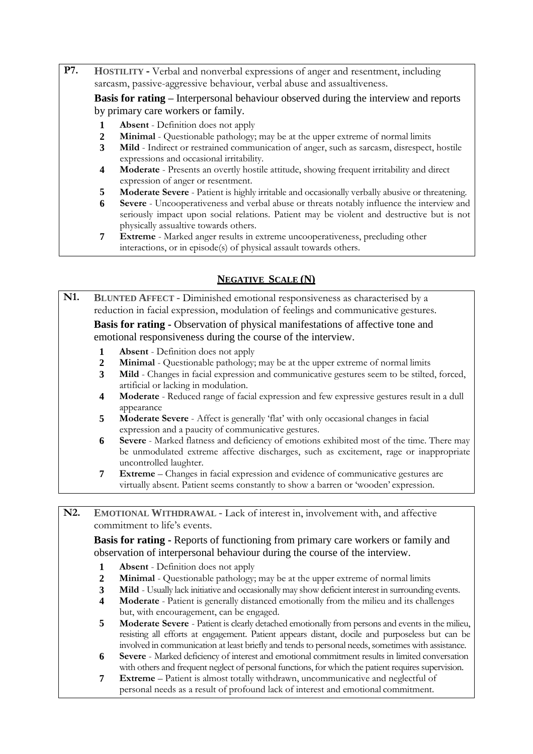**P7. HOSTILITY -** Verbal and nonverbal expressions of anger and resentment, including sarcasm, passive-aggressive behaviour, verbal abuse and assualtiveness.

**Basis for rating –** Interpersonal behaviour observed during the interview and reports by primary care workers or family.

- **1 Absent**  Definition does not apply
- **2 Minimal**  Questionable pathology; may be at the upper extreme of normal limits
- **3 Mild**  Indirect or restrained communication of anger, such as sarcasm, disrespect, hostile expressions and occasional irritability.
- **4 Moderate**  Presents an overtly hostile attitude, showing frequent irritability and direct expression of anger or resentment.
- **5 Moderate Severe** Patient is highly irritable and occasionally verbally abusive or threatening.
- **6 Severe**  Uncooperativeness and verbal abuse or threats notably influence the interview and seriously impact upon social relations. Patient may be violent and destructive but is not physically assualtive towards others.
- **7 Extreme**  Marked anger results in extreme uncooperativeness, precluding other interactions, or in episode(s) of physical assault towards others.

# **NEGATIVE SCALE (N)**

**N1. BLUNTED AFFECT -** Diminished emotional responsiveness as characterised by a reduction in facial expression, modulation of feelings and communicative gestures.

**Basis for rating -** Observation of physical manifestations of affective tone and emotional responsiveness during the course of the interview.

- **1 Absent**  Definition does not apply
- **2 Minimal**  Questionable pathology; may be at the upper extreme of normal limits
- **3 Mild**  Changes in facial expression and communicative gestures seem to be stilted, forced, artificial or lacking in modulation.
- **4 Moderate**  Reduced range of facial expression and few expressive gestures result in a dull appearance
- **5 Moderate Severe**  Affect is generally 'flat' with only occasional changes in facial expression and a paucity of communicative gestures.
- **6 Severe**  Marked flatness and deficiency of emotions exhibited most of the time. There may be unmodulated extreme affective discharges, such as excitement, rage or inappropriate uncontrolled laughter.
- **7 Extreme**  Changes in facial expression and evidence of communicative gestures are virtually absent. Patient seems constantly to show a barren or 'wooden' expression.

**N2. EMOTIONAL WITHDRAWAL -** Lack of interest in, involvement with, and affective commitment to life's events.

**Basis for rating -** Reports of functioning from primary care workers or family and observation of interpersonal behaviour during the course of the interview.

- **1 Absent**  Definition does not apply
- **2 Minimal**  Questionable pathology; may be at the upper extreme of normal limits
- **3 Mild**  Usually lack initiative and occasionally may show deficient interest in surrounding events.
- **4 Moderate**  Patient is generally distanced emotionally from the milieu and its challenges but, with encouragement, can be engaged.
- **5 Moderate Severe**  Patient is clearly detached emotionally from persons and events in the milieu, resisting all efforts at engagement. Patient appears distant, docile and purposeless but can be involved in communication at least briefly and tends to personal needs, sometimes with assistance.
- **6 Severe**  Marked deficiency of interest and emotional commitment results in limited conversation with others and frequent neglect of personal functions, for which the patient requires supervision.
- **7 Extreme**  Patient is almost totally withdrawn, uncommunicative and neglectful of personal needs as a result of profound lack of interest and emotional commitment.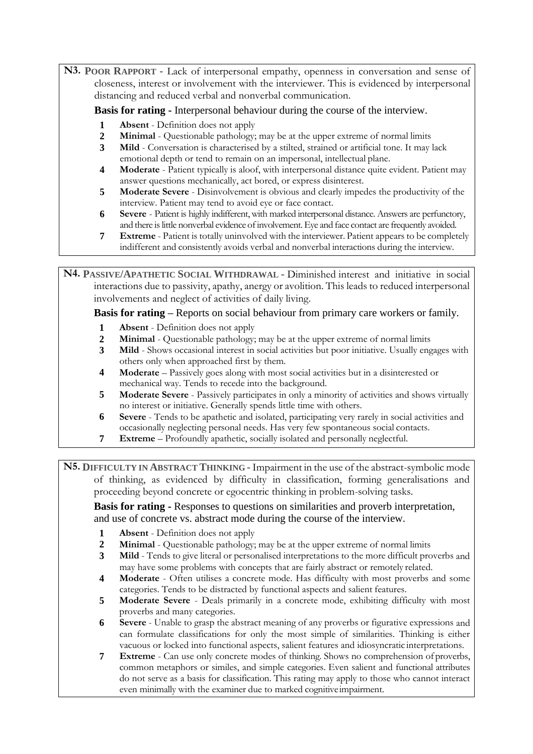**N3. POOR RAPPORT -** Lack of interpersonal empathy, openness in conversation and sense of closeness, interest or involvement with the interviewer. This is evidenced by interpersonal distancing and reduced verbal and nonverbal communication.

**Basis for rating -** Interpersonal behaviour during the course of the interview.

- **1 Absent**  Definition does not apply
- **2 Minimal**  Questionable pathology; may be at the upper extreme of normal limits
- **3 Mild**  Conversation is characterised by a stilted, strained or artificial tone. It may lack emotional depth or tend to remain on an impersonal, intellectual plane.
- **4 Moderate**  Patient typically is aloof, with interpersonal distance quite evident. Patient may answer questions mechanically, act bored, or express disinterest.
- **5 Moderate Severe**  Disinvolvement is obvious and clearly impedes the productivity of the interview. Patient may tend to avoid eye or face contact.
- **6 Severe**  Patient is highly indifferent, with marked interpersonal distance. Answers are perfunctory, and there is little nonverbal evidence of involvement. Eye and face contact are frequently avoided.
- **7 Extreme** Patient is totally uninvolved with the interviewer. Patient appears to be completely indifferent and consistently avoids verbal and nonverbal interactions during the interview.

**N4. PASSIVE/APATHETIC SOCIAL WITHDRAWAL -** Diminished interest and initiative in social interactions due to passivity, apathy, anergy or avolition. This leads to reduced interpersonal involvements and neglect of activities of daily living.

### **Basis for rating –** Reports on social behaviour from primary care workers or family.

- **1 Absent**  Definition does not apply
- **2 Minimal**  Questionable pathology; may be at the upper extreme of normal limits
- **3 Mild**  Shows occasional interest in social activities but poor initiative. Usually engages with others only when approached first by them.
- **4 Moderate**  Passively goes along with most social activities but in a disinterested or mechanical way. Tends to recede into the background.
- **5 Moderate Severe**  Passively participates in only a minority of activities and shows virtually no interest or initiative. Generally spends little time with others.
- **6 Severe**  Tends to be apathetic and isolated, participating very rarely in social activities and occasionally neglecting personal needs. Has very few spontaneous social contacts.
- **7 Extreme**  Profoundly apathetic, socially isolated and personally neglectful.

**N5. DIFFICULTY IN ABSTRACT THINKING -** Impairment in the use of the abstract-symbolic mode of thinking, as evidenced by difficulty in classification, forming generalisations and proceeding beyond concrete or egocentric thinking in problem-solving tasks.

**Basis for rating -** Responses to questions on similarities and proverb interpretation, and use of concrete vs. abstract mode during the course of the interview.

- **1 Absent**  Definition does not apply
- **2 Minimal**  Questionable pathology; may be at the upper extreme of normal limits
- **3 Mild**  Tends to give literal or personalised interpretations to the more difficult proverbs and may have some problems with concepts that are fairly abstract or remotely related.
- **4 Moderate**  Often utilises a concrete mode. Has difficulty with most proverbs and some categories. Tends to be distracted by functional aspects and salient features.
- **5 Moderate Severe**  Deals primarily in a concrete mode, exhibiting difficulty with most proverbs and many categories.
- **6 Severe**  Unable to grasp the abstract meaning of any proverbs or figurative expressions and can formulate classifications for only the most simple of similarities. Thinking is either vacuous or locked into functional aspects, salient features and idiosyncratic interpretations.
- **7 Extreme**  Can use only concrete modes of thinking. Shows no comprehension of proverbs, common metaphors or similes, and simple categories. Even salient and functional attributes do not serve as a basis for classification. This rating may apply to those who cannot interact even minimally with the examiner due to marked cognitiveimpairment.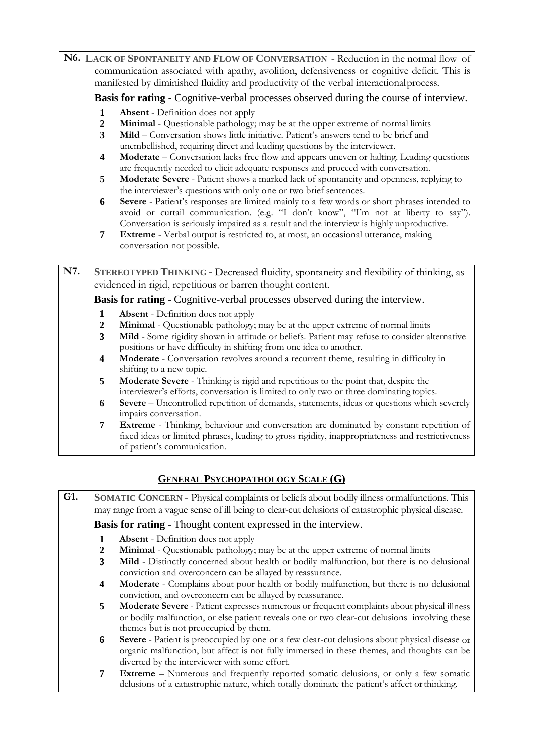**N6. LACK OF SPONTANEITY AND FLOW OF CONVERSATION -** Reduction in the normal flow of communication associated with apathy, avolition, defensiveness or cognitive deficit. This is manifested by diminished fluidity and productivity of the verbal interactionalprocess.

**Basis for rating -** Cognitive-verbal processes observed during the course of interview.

- **1 Absent** Definition does not apply<br>**2 Minimal** Ouestionable pathology;
- **2 Minimal** Questionable pathology; may be at the upper extreme of normal limits **3 Mild** Conversation shows little initiative. Patient's answers tend to be brief and
- **3 Mild**  Conversation shows little initiative. Patient's answers tend to be brief and unembellished, requiring direct and leading questions by the interviewer.
- **4 Moderate**  Conversation lacks free flow and appears uneven or halting. Leading questions are frequently needed to elicit adequate responses and proceed with conversation.
- **5 Moderate Severe**  Patient shows a marked lack of spontaneity and openness, replying to the interviewer's questions with only one or two brief sentences.
- **6 Severe**  Patient's responses are limited mainly to a few words or short phrases intended to avoid or curtail communication. (e.g. "I don't know", "I'm not at liberty to say"). Conversation is seriously impaired as a result and the interview is highly unproductive.
- **7 Extreme**  Verbal output is restricted to, at most, an occasional utterance, making conversation not possible.

**N7. STEREOTYPED THINKING -** Decreased fluidity, spontaneity and flexibility of thinking, as evidenced in rigid, repetitious or barren thought content.

**Basis for rating -** Cognitive-verbal processes observed during the interview.

- **1 Absent**  Definition does not apply
- **2 Minimal**  Questionable pathology; may be at the upper extreme of normal limits
- **3 Mild**  Some rigidity shown in attitude or beliefs. Patient may refuse to consider alternative positions or have difficulty in shifting from one idea to another.
- **4 Moderate**  Conversation revolves around a recurrent theme, resulting in difficulty in shifting to a new topic.
- **5 Moderate Severe**  Thinking is rigid and repetitious to the point that, despite the interviewer's efforts, conversation is limited to only two or three dominating topics.
- **6 Severe**  Uncontrolled repetition of demands, statements, ideas or questions which severely impairs conversation.
- **7 Extreme**  Thinking, behaviour and conversation are dominated by constant repetition of fixed ideas or limited phrases, leading to gross rigidity, inappropriateness and restrictiveness of patient's communication.

# **GENERAL PSYCHOPATHOLOGY SCALE (G)**

**G1. SOMATIC CONCERN -** Physical complaints or beliefs about bodily illness ormalfunctions. This may range from a vague sense of ill being to clear-cut delusions of catastrophic physical disease.

#### **Basis for rating -** Thought content expressed in the interview.

- **1 Absent**  Definition does not apply
- **2 Minimal**  Questionable pathology; may be at the upper extreme of normal limits
- **3 Mild**  Distinctly concerned about health or bodily malfunction, but there is no delusional conviction and overconcern can be allayed by reassurance.
- **4 Moderate**  Complains about poor health or bodily malfunction, but there is no delusional conviction, and overconcern can be allayed by reassurance.
- **5 Moderate Severe**  Patient expresses numerous or frequent complaints about physical illness or bodily malfunction, or else patient reveals one or two clear-cut delusions involving these themes but is not preoccupied by them.
- **6 Severe**  Patient is preoccupied by one or a few clear-cut delusions about physical disease or organic malfunction, but affect is not fully immersed in these themes, and thoughts can be diverted by the interviewer with some effort.
- **7 Extreme**  Numerous and frequently reported somatic delusions, or only a few somatic delusions of a catastrophic nature, which totally dominate the patient's affect orthinking.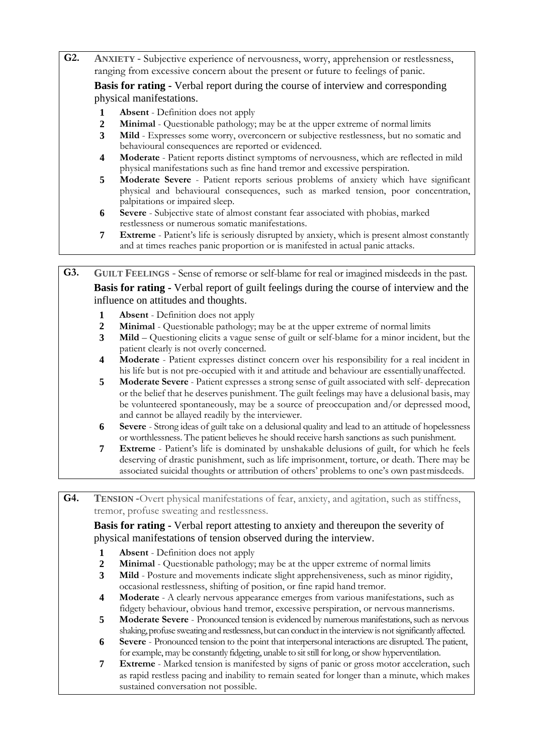- **G2. ANXIETY -** Subjective experience of nervousness, worry, apprehension or restlessness, ranging from excessive concern about the present or future to feelings of panic. **Basis for rating -** Verbal report during the course of interview and corresponding physical manifestations.
	- **1 Absent**  Definition does not apply
	- **2 Minimal**  Questionable pathology; may be at the upper extreme of normal limits
	- **3 Mild**  Expresses some worry, overconcern or subjective restlessness, but no somatic and behavioural consequences are reported or evidenced.
	- **4 Moderate**  Patient reports distinct symptoms of nervousness, which are reflected in mild physical manifestations such as fine hand tremor and excessive perspiration.
	- **5 Moderate Severe**  Patient reports serious problems of anxiety which have significant physical and behavioural consequences, such as marked tension, poor concentration, palpitations or impaired sleep.
	- **6 Severe**  Subjective state of almost constant fear associated with phobias, marked restlessness or numerous somatic manifestations.
	- **7 Extreme**  Patient's life is seriously disrupted by anxiety, which is present almost constantly and at times reaches panic proportion or is manifested in actual panic attacks.

**G3. GUILT FEELINGS** - Sense of remorse or self-blame for real or imagined misdeeds in the past. **Basis for rating -** Verbal report of guilt feelings during the course of interview and the influence on attitudes and thoughts.

- **1 Absent**  Definition does not apply
- **2 Minimal**  Questionable pathology; may be at the upper extreme of normal limits
- **3 Mild**  Questioning elicits a vague sense of guilt or self-blame for a minor incident, but the patient clearly is not overly concerned.
- **4 Moderate**  Patient expresses distinct concern over his responsibility for a real incident in his life but is not pre-occupied with it and attitude and behaviour are essentiallyunaffected.
- **5 Moderate Severe**  Patient expresses a strong sense of guilt associated with self- deprecation or the belief that he deserves punishment. The guilt feelings may have a delusional basis, may be volunteered spontaneously, may be a source of preoccupation and/or depressed mood, and cannot be allayed readily by the interviewer.
- **6 Severe**  Strong ideas of guilt take on a delusional quality and lead to an attitude of hopelessness or worthlessness. The patient believes he should receive harsh sanctions as such punishment.
- **7 Extreme**  Patient's life is dominated by unshakable delusions of guilt, for which he feels deserving of drastic punishment, such as life imprisonment, torture, or death. There may be associated suicidal thoughts or attribution of others' problems to one's own pastmisdeeds.

**G4. TENSION -**Overt physical manifestations of fear, anxiety, and agitation, such as stiffness, tremor, profuse sweating and restlessness.

**Basis for rating -** Verbal report attesting to anxiety and thereupon the severity of physical manifestations of tension observed during the interview.

- **1 Absent**  Definition does not apply
- **2 Minimal**  Questionable pathology; may be at the upper extreme of normal limits
- **3 Mild**  Posture and movements indicate slight apprehensiveness, such as minor rigidity, occasional restlessness, shifting of position, or fine rapid hand tremor.
- **4 Moderate**  A clearly nervous appearance emerges from various manifestations, such as fidgety behaviour, obvious hand tremor, excessive perspiration, or nervous mannerisms.
- **5 Moderate Severe**  Pronounced tension is evidenced by numerous manifestations, such as nervous shaking, profuse sweating and restlessness, but can conduct in the interview is not significantly affected.
- **6 Severe**  Pronounced tension to the point that interpersonal interactions are disrupted. The patient, for example, may be constantly fidgeting, unable to sit still for long, or show hyperventilation.
- **7 Extreme**  Marked tension is manifested by signs of panic or gross motor acceleration, such as rapid restless pacing and inability to remain seated for longer than a minute, which makes sustained conversation not possible.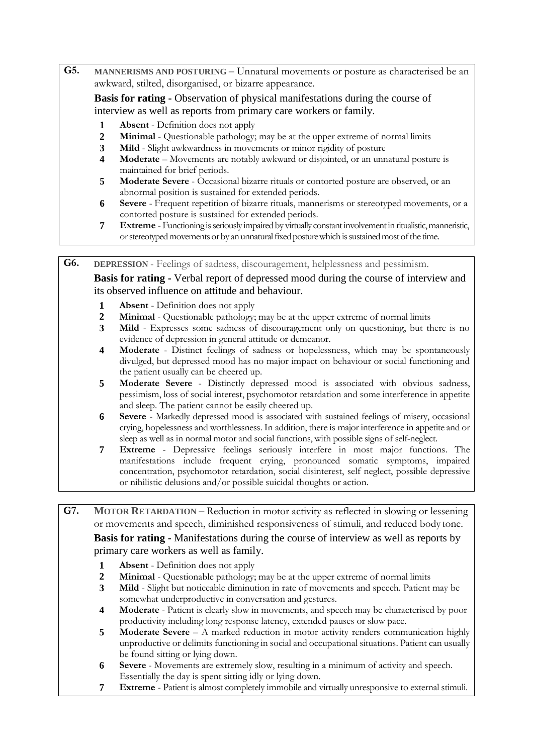**G5. MANNERISMS AND POSTURING –** Unnatural movements or posture as characterised be an awkward, stilted, disorganised, or bizarre appearance.

**Basis for rating -** Observation of physical manifestations during the course of interview as well as reports from primary care workers or family.

- **1 Absent** Definition does not apply<br>**2 Minimal** Ouestionable pathology;
- **2 Minimal**  Questionable pathology; may be at the upper extreme of normal limits
- **3 Mild**  Slight awkwardness in movements or minor rigidity of posture
- **4 Moderate**  Movements are notably awkward or disjointed, or an unnatural posture is maintained for brief periods.
- **5 Moderate Severe**  Occasional bizarre rituals or contorted posture are observed, or an abnormal position is sustained for extended periods.
- **6 Severe**  Frequent repetition of bizarre rituals, mannerisms or stereotyped movements, or a contorted posture is sustained for extended periods.
- **7 Extreme** Functioning is seriously impaired by virtually constant involvement in ritualistic, manneristic, or stereotyped movements or by an unnatural fixed posture which is sustained most of the time.

**G6. DEPRESSION** - Feelings of sadness, discouragement, helplessness and pessimism. **Basis for rating -** Verbal report of depressed mood during the course of interview and its observed influence on attitude and behaviour.

- **1 Absent**  Definition does not apply
- **2 Minimal**  Questionable pathology; may be at the upper extreme of normal limits
- **3 Mild**  Expresses some sadness of discouragement only on questioning, but there is no evidence of depression in general attitude or demeanor.
- **4 Moderate**  Distinct feelings of sadness or hopelessness, which may be spontaneously divulged, but depressed mood has no major impact on behaviour or social functioning and the patient usually can be cheered up.
- **5 Moderate Severe**  Distinctly depressed mood is associated with obvious sadness, pessimism, loss of social interest, psychomotor retardation and some interference in appetite and sleep. The patient cannot be easily cheered up.
- **6 Severe**  Markedly depressed mood is associated with sustained feelings of misery, occasional crying, hopelessness and worthlessness. In addition, there is major interference in appetite and or sleep as well as in normal motor and social functions, with possible signs of self-neglect.
- **7 Extreme**  Depressive feelings seriously interfere in most major functions. The manifestations include frequent crying, pronounced somatic symptoms, impaired concentration, psychomotor retardation, social disinterest, self neglect, possible depressive or nihilistic delusions and/or possible suicidal thoughts or action.

**G7. MOTOR RETARDATION –** Reduction in motor activity as reflected in slowing or lessening or movements and speech, diminished responsiveness of stimuli, and reduced body tone.

**Basis for rating -** Manifestations during the course of interview as well as reports by primary care workers as well as family.

- **1 Absent**  Definition does not apply
- **2 Minimal**  Questionable pathology; may be at the upper extreme of normal limits
- **3 Mild**  Slight but noticeable diminution in rate of movements and speech. Patient may be somewhat underproductive in conversation and gestures.
- **4 Moderate**  Patient is clearly slow in movements, and speech may be characterised by poor productivity including long response latency, extended pauses or slow pace.
- **5 Moderate Severe**  A marked reduction in motor activity renders communication highly unproductive or delimits functioning in social and occupational situations. Patient can usually be found sitting or lying down.
- **6 Severe**  Movements are extremely slow, resulting in a minimum of activity and speech. Essentially the day is spent sitting idly or lying down.
- **7 Extreme** Patient is almost completely immobile and virtually unresponsive to external stimuli.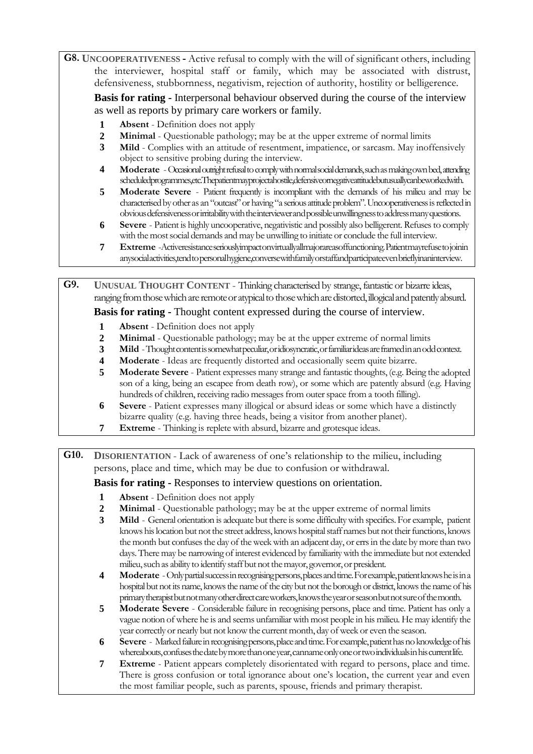**G8. UNCOOPERATIVENESS -** Active refusal to comply with the will of significant others, including the interviewer, hospital staff or family, which may be associated with distrust, defensiveness, stubbornness, negativism, rejection of authority, hostility or belligerence.

**Basis for rating -** Interpersonal behaviour observed during the course of the interview as well as reports by primary care workers or family.

- **1 Absent**  Definition does not apply
- **2 Minimal**  Questionable pathology; may be at the upper extreme of normal limits
- **3 Mild**  Complies with an attitude of resentment, impatience, or sarcasm. May inoffensively object to sensitive probing during the interview.
- 4 **Moderate** Occasional outright refusal to comply with normal social demands, such as making own bed, attending scheduledprogrammes,etc.Thepatientmayprojectahostile,defensiveornegativeattitudebutusuallycanbeworkedwith.
- **5 Moderate Severe**  Patient frequently is incompliant with the demands of his milieu and may be characterised by other as an "outcast" or having "a serious attitude problem". Uncooperativeness is reflected in obviousdefensivenessorirritabilitywiththeinterviewerandpossibleunwillingnesstoaddressmanyquestions.
- **6 Severe** Patient is highly uncooperative, negativistic and possibly also belligerent. Refuses to comply with the most social demands and may be unwilling to initiate or conclude the full interview.
- **7 Extreme** -Activeresistanceseriouslyimpactonvirtuallyallmajorareasoffunctioning.Patientmayrefusetojoinin anysocialactivities,tendtopersonalhygiene,conversewithfamilyorstaffandparticipateevenbrieflyinaninterview.

**G9. UNUSUAL THOUGHT CONTENT** - Thinking characterised by strange, fantastic or bizarre ideas, ranging from those which are remote or atypical to those which are distorted, illogical and patently absurd.

# **Basis for rating -** Thought content expressed during the course of interview.

- **1 Absent**  Definition does not apply
- **2 Minimal**  Questionable pathology; may be at the upper extreme of normal limits
- **3 Mild** -Thoughtcontentissomewhatpeculiar,oridiosyncratic,orfamiliarideasareframedinanoddcontext.
- **4 Moderate**  Ideas are frequently distorted and occasionally seem quite bizarre.
- **5 Moderate Severe**  Patient expresses many strange and fantastic thoughts, (e.g. Being the adopted son of a king, being an escapee from death row), or some which are patently absurd (e.g. Having hundreds of children, receiving radio messages from outer space from a tooth filling).
- **6 Severe**  Patient expresses many illogical or absurd ideas or some which have a distinctly bizarre quality (e.g. having three heads, being a visitor from another planet).
- **7 Extreme** Thinking is replete with absurd, bizarre and grotesque ideas.

**G10. DISORIENTATION** - Lack of awareness of one's relationship to the milieu, including persons, place and time, which may be due to confusion or withdrawal.

# **Basis for rating -** Responses to interview questions on orientation.

- **1 Absent**  Definition does not apply
- **2 Minimal**  Questionable pathology; may be at the upper extreme of normal limits
- **3 Mild** General orientation is adequate but there issome difficultywith specifics. For example, patient knows his location but not the street address, knows hospital staff names but not their functions, knows the month but confuses the day of the week with an adjacent day, or errs in the date by more than two days. There may be narrowing of interest evidenced by familiarity with the immediate but not extended milieu, such as ability to identify staff but not the mayor, governor, or president.
- **4 Moderate** Only partial success in recognising persons, places and time. For example, patient knows he is in a hospital but not its name, knows the name of the city but not the borough or district, knows the name of his primarytherapistbutnotmanyotherdirectcareworkers,knowstheyearorseasonbutnotsureofthemonth.
- **5 Moderate Severe**  Considerable failure in recognising persons, place and time. Patient has only a vague notion of where he is and seems unfamiliar with most people in his milieu. He may identify the year correctly or nearly but not know the current month, day of week or even the season.
- **6 Severe** Marked failure in recognising persons, place and time. For example, patient has no knowledge of his whereabouts, confuses the date by more than one year, canname only one or two individuals in his current life.
- **7 Extreme**  Patient appears completely disorientated with regard to persons, place and time. There is gross confusion or total ignorance about one's location, the current year and even the most familiar people, such as parents, spouse, friends and primary therapist.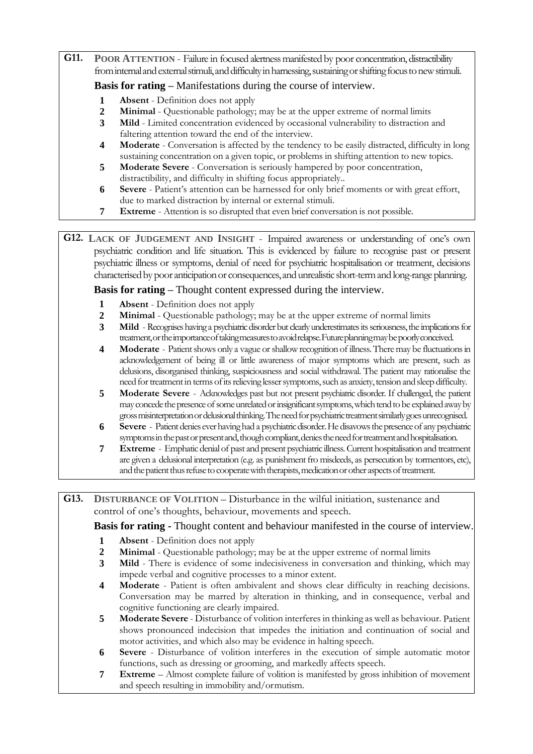**G11. POOR ATTENTION** - Failure in focused alertness manifested by poor concentration, distractibility from internal and external stimuli, and difficulty in harnessing, sustaining or shifting focus to new stimuli.

# **Basis for rating –** Manifestations during the course of interview.

- **1 Absent**  Definition does not apply
- **2 Minimal**  Questionable pathology; may be at the upper extreme of normal limits
- **3 Mild**  Limited concentration evidenced by occasional vulnerability to distraction and faltering attention toward the end of the interview.
- **4 Moderate**  Conversation is affected by the tendency to be easily distracted, difficulty in long sustaining concentration on a given topic, or problems in shifting attention to new topics.
- **5 Moderate Severe**  Conversation is seriously hampered by poor concentration, distractibility, and difficulty in shifting focus appropriately..
- **6 Severe**  Patient's attention can be harnessed for only brief moments or with great effort, due to marked distraction by internal or external stimuli.
- **7 Extreme** Attention is so disrupted that even brief conversation is not possible.

**G12. LACK OF JUDGEMENT AND INSIGHT** - Impaired awareness or understanding of one's own psychiatric condition and life situation. This is evidenced by failure to recognise past or present psychiatric illness or symptoms, denial of need for psychiatric hospitalisation or treatment, decisions characterised by poor anticipation or consequences, and unrealistic short-term and long-range planning.

# **Basis for rating –** Thought content expressed during the interview.

- **1 Absent**  Definition does not apply
- **2 Minimal**  Questionable pathology; may be at the upper extreme of normal limits
- **3 Mild** Recognises having a psychiatric disorder but clearly underestimates its seriousness, the implications for treatment,ortheimportanceoftakingmeasurestoavoidrelapse.Futureplanningmaybepoorlyconceived.
- **4 Moderate** Patient shows only a vague or shallow recognition of illness. There may be fluctuations in acknowledgement of being ill or little awareness of major symptoms which are present, such as delusions, disorganised thinking, suspiciousness and social withdrawal. The patient may rationalise the need for treatment in terms of its relieving lesser symptoms, such as anxiety, tension and sleep difficulty.
- **5 Moderate Severe**  Acknowledges past but not present psychiatric disorder. If challenged, the patient may concede the presence of some unrelated or insignificant symptoms, which tend to be explained away by grossmisinterpretationordelusionalthinking.Theneedforpsychiatrictreatmentsimilarlygoesunrecognised.
- **6 Severe** Patient denies ever having had a psychiatric disorder. He disavows the presence of any psychiatric symptoms in the past or present and, though compliant, denies the need for treatment and hospitalisation.
- **7 Extreme** Emphatic denial of past and present psychiatric illness.Current hospitalisation and treatment are given a delusional interpretation (e.g. as punishment fro misdeeds, as persecution by tormentors, etc), and the patient thus refuse to cooperate with therapists, medication or other aspects of treatment.

**G13. DISTURBANCE OF VOLITION** – Disturbance in the wilful initiation, sustenance and control of one's thoughts, behaviour, movements and speech.

**Basis for rating -** Thought content and behaviour manifested in the course of interview.

- **1 Absent**  Definition does not apply
- **2 Minimal**  Questionable pathology; may be at the upper extreme of normal limits
- **3 Mild**  There is evidence of some indecisiveness in conversation and thinking, which may impede verbal and cognitive processes to a minor extent.
- **4 Moderate**  Patient is often ambivalent and shows clear difficulty in reaching decisions. Conversation may be marred by alteration in thinking, and in consequence, verbal and cognitive functioning are clearly impaired.
- **5 Moderate Severe**  Disturbance of volition interferes in thinking as well as behaviour. Patient shows pronounced indecision that impedes the initiation and continuation of social and motor activities, and which also may be evidence in halting speech.
- **6 Severe**  Disturbance of volition interferes in the execution of simple automatic motor functions, such as dressing or grooming, and markedly affects speech.
- **7 Extreme**  Almost complete failure of volition is manifested by gross inhibition of movement and speech resulting in immobility and/ormutism.